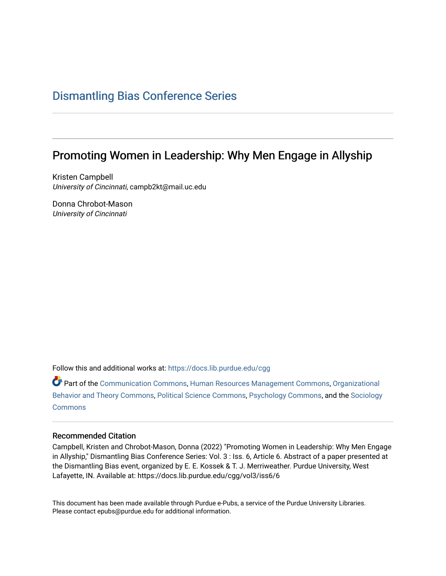## [Dismantling Bias Conference Series](https://docs.lib.purdue.edu/cgg)

# Promoting Women in Leadership: Why Men Engage in Allyship

Kristen Campbell University of Cincinnati, campb2kt@mail.uc.edu

Donna Chrobot-Mason University of Cincinnati

Follow this and additional works at: [https://docs.lib.purdue.edu/cgg](https://docs.lib.purdue.edu/cgg?utm_source=docs.lib.purdue.edu%2Fcgg%2Fvol3%2Fiss6%2F6&utm_medium=PDF&utm_campaign=PDFCoverPages)

Part of the [Communication Commons,](https://network.bepress.com/hgg/discipline/325?utm_source=docs.lib.purdue.edu%2Fcgg%2Fvol3%2Fiss6%2F6&utm_medium=PDF&utm_campaign=PDFCoverPages) [Human Resources Management Commons,](https://network.bepress.com/hgg/discipline/633?utm_source=docs.lib.purdue.edu%2Fcgg%2Fvol3%2Fiss6%2F6&utm_medium=PDF&utm_campaign=PDFCoverPages) [Organizational](https://network.bepress.com/hgg/discipline/639?utm_source=docs.lib.purdue.edu%2Fcgg%2Fvol3%2Fiss6%2F6&utm_medium=PDF&utm_campaign=PDFCoverPages) [Behavior and Theory Commons,](https://network.bepress.com/hgg/discipline/639?utm_source=docs.lib.purdue.edu%2Fcgg%2Fvol3%2Fiss6%2F6&utm_medium=PDF&utm_campaign=PDFCoverPages) [Political Science Commons,](https://network.bepress.com/hgg/discipline/386?utm_source=docs.lib.purdue.edu%2Fcgg%2Fvol3%2Fiss6%2F6&utm_medium=PDF&utm_campaign=PDFCoverPages) [Psychology Commons,](https://network.bepress.com/hgg/discipline/404?utm_source=docs.lib.purdue.edu%2Fcgg%2Fvol3%2Fiss6%2F6&utm_medium=PDF&utm_campaign=PDFCoverPages) and the [Sociology](https://network.bepress.com/hgg/discipline/416?utm_source=docs.lib.purdue.edu%2Fcgg%2Fvol3%2Fiss6%2F6&utm_medium=PDF&utm_campaign=PDFCoverPages) [Commons](https://network.bepress.com/hgg/discipline/416?utm_source=docs.lib.purdue.edu%2Fcgg%2Fvol3%2Fiss6%2F6&utm_medium=PDF&utm_campaign=PDFCoverPages)

### Recommended Citation

Campbell, Kristen and Chrobot-Mason, Donna (2022) "Promoting Women in Leadership: Why Men Engage in Allyship," Dismantling Bias Conference Series: Vol. 3 : Iss. 6, Article 6. Abstract of a paper presented at the Dismantling Bias event, organized by E. E. Kossek & T. J. Merriweather. Purdue University, West Lafayette, IN. Available at: https://docs.lib.purdue.edu/cgg/vol3/iss6/6

This document has been made available through Purdue e-Pubs, a service of the Purdue University Libraries. Please contact epubs@purdue.edu for additional information.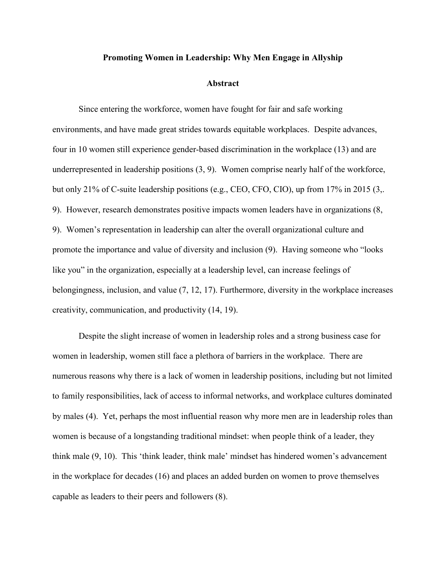#### **Promoting Women in Leadership: Why Men Engage in Allyship**

#### **Abstract**

 environments, and have made great strides towards equitable workplaces. Despite advances, underrepresented in leadership positions (3, 9). Women comprise nearly half of the workforce, 9). Women's representation in leadership can alter the overall organizational culture and promote the importance and value of diversity and inclusion (9). Having someone who "looks belongingness, inclusion, and value (7, 12, 17). Furthermore, diversity in the workplace increases creativity, communication, and productivity (14, 19). Since entering the workforce, women have fought for fair and safe working four in 10 women still experience gender-based discrimination in the workplace (13) and are but only 21% of C-suite leadership positions (e.g., CEO, CFO, CIO), up from 17% in 2015 (3,. 9). However, research demonstrates positive impacts women leaders have in organizations (8, like you" in the organization, especially at a leadership level, can increase feelings of

 women in leadership, women still face a plethora of barriers in the workplace. There are in the workplace for decades (16) and places an added burden on women to prove themselves Despite the slight increase of women in leadership roles and a strong business case for numerous reasons why there is a lack of women in leadership positions, including but not limited to family responsibilities, lack of access to informal networks, and workplace cultures dominated by males (4). Yet, perhaps the most influential reason why more men are in leadership roles than women is because of a longstanding traditional mindset: when people think of a leader, they think male (9, 10). This 'think leader, think male' mindset has hindered women's advancement capable as leaders to their peers and followers (8).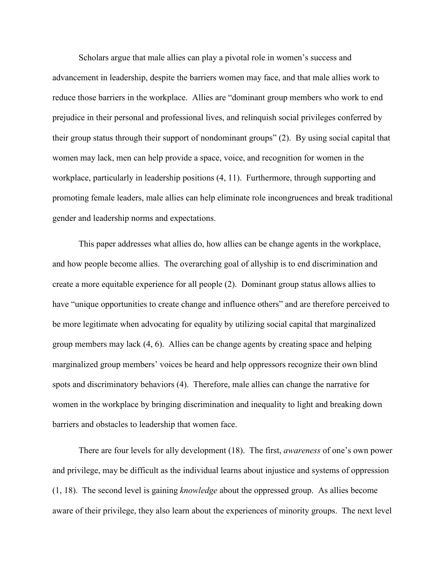reduce those barriers in the workplace. Allies are "dominant group members who work to end their group status through their support of nondominant groups" (2). By using social capital that workplace, particularly in leadership positions (4, 11). Furthermore, through supporting and Scholars argue that male allies can play a pivotal role in women's success and advancement in leadership, despite the barriers women may face, and that male allies work to prejudice in their personal and professional lives, and relinquish social privileges conferred by women may lack, men can help provide a space, voice, and recognition for women in the promoting female leaders, male allies can help eliminate role incongruences and break traditional gender and leadership norms and expectations.

 and how people become allies. The overarching goal of allyship is to end discrimination and be more legitimate when advocating for equality by utilizing social capital that marginalized group members may lack (4, 6). Allies can be change agents by creating space and helping spots and discriminatory behaviors (4). Therefore, male allies can change the narrative for barriers and obstacles to leadership that women face. This paper addresses what allies do, how allies can be change agents in the workplace, create a more equitable experience for all people (2). Dominant group status allows allies to have "unique opportunities to create change and influence others" and are therefore perceived to marginalized group members' voices be heard and help oppressors recognize their own blind women in the workplace by bringing discrimination and inequality to light and breaking down

 (1, 18). The second level is gaining *knowledge* about the oppressed group. As allies become There are four levels for ally development (18). The first, *awareness* of one's own power and privilege, may be difficult as the individual learns about injustice and systems of oppression aware of their privilege, they also learn about the experiences of minority groups. The next level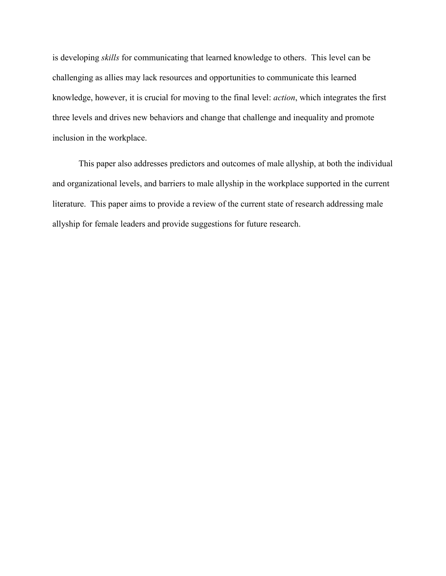is developing *skills* for communicating that learned knowledge to others. This level can be challenging as allies may lack resources and opportunities to communicate this learned knowledge, however, it is crucial for moving to the final level: *action*, which integrates the first three levels and drives new behaviors and change that challenge and inequality and promote inclusion in the workplace.

 literature. This paper aims to provide a review of the current state of research addressing male allyship for female leaders and provide suggestions for future research. This paper also addresses predictors and outcomes of male allyship, at both the individual and organizational levels, and barriers to male allyship in the workplace supported in the current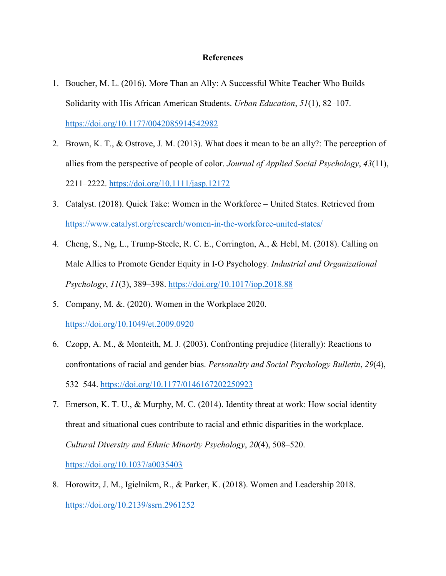### **References**

- 1. Boucher, M. L. (2016). More Than an Ally: A Successful White Teacher Who Builds Solidarity with His African American Students. *Urban Education*, *51*(1), 82–107. <https://doi.org/10.1177/0042085914542982>
- 2. Brown, K. T., & Ostrove, J. M. (2013). What does it mean to be an ally?: The perception of allies from the perspective of people of color. *Journal of Applied Social Psychology*, *43*(11), 2211–2222.<https://doi.org/10.1111/jasp.12172>
- 3. Catalyst. (2018). Quick Take: Women in the Workforce United States. Retrieved from <https://www.catalyst.org/research/women-in-the-workforce-united-states/>
- 4. Cheng, S., Ng, L., Trump-Steele, R. C. E., Corrington, A., & Hebl, M. (2018). Calling on Male Allies to Promote Gender Equity in I-O Psychology. *Industrial and Organizational Psychology*, *11*(3), 389–398.<https://doi.org/10.1017/iop.2018.88>
- 5. Company, M. &. (2020). Women in the Workplace 2020. https://doi.org/10.1049/et.2009.0920
- 6. Czopp, A. M., & Monteith, M. J. (2003). Confronting prejudice (literally): Reactions to confrontations of racial and gender bias. *Personality and Social Psychology Bulletin*, *29*(4), 532–544.<https://doi.org/10.1177/0146167202250923>
- 7. Emerson, K. T. U., & Murphy, M. C. (2014). Identity threat at work: How social identity threat and situational cues contribute to racial and ethnic disparities in the workplace. *Cultural Diversity and Ethnic Minority Psychology*, *20*(4), 508–520. <https://doi.org/10.1037/a0035403>
- 8. Horowitz, J. M., Igielnikm, R., & Parker, K. (2018). Women and Leadership 2018. <https://doi.org/10.2139/ssrn.2961252>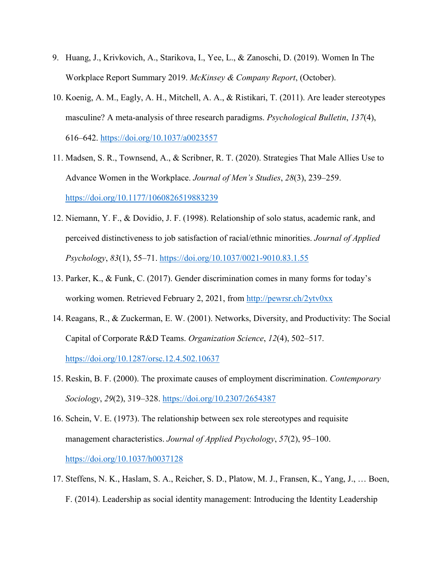- 9. Huang, J., Krivkovich, A., Starikova, I., Yee, L., & Zanoschi, D. (2019). Women In The Workplace Report Summary 2019. *McKinsey & Company Report*, (October).
- 10. Koenig, A. M., Eagly, A. H., Mitchell, A. A., & Ristikari, T. (2011). Are leader stereotypes masculine? A meta-analysis of three research paradigms. *Psychological Bulletin*, *137*(4), 616–642.<https://doi.org/10.1037/a0023557>
- 11. Madsen, S. R., Townsend, A., & Scribner, R. T. (2020). Strategies That Male Allies Use to Advance Women in the Workplace. *Journal of Men's Studies*, *28*(3), 239–259. <https://doi.org/10.1177/1060826519883239>
- 12. Niemann, Y. F., & Dovidio, J. F. (1998). Relationship of solo status, academic rank, and perceived distinctiveness to job satisfaction of racial/ethnic minorities. *Journal of Applied Psychology*, *83*(1), 55–71.<https://doi.org/10.1037/0021-9010.83.1.55>
- 13. Parker, K., & Funk, C. (2017). Gender discrimination comes in many forms for today's working women. Retrieved February 2, 2021, from<http://pewrsr.ch/2ytv0xx>
- 14. Reagans, R., & Zuckerman, E. W. (2001). Networks, Diversity, and Productivity: The Social Capital of Corporate R&D Teams. *Organization Science*, *12*(4), 502–517. <https://doi.org/10.1287/orsc.12.4.502.10637>
- 15. Reskin, B. F. (2000). The proximate causes of employment discrimination. *Contemporary Sociology*, *29*(2), 319–328.<https://doi.org/10.2307/2654387>
- 16. Schein, V. E. (1973). The relationship between sex role stereotypes and requisite management characteristics. *Journal of Applied Psychology*, *57*(2), 95–100. <https://doi.org/10.1037/h0037128>
- F. (2014). Leadership as social identity management: Introducing the Identity Leadership 17. Steffens, N. K., Haslam, S. A., Reicher, S. D., Platow, M. J., Fransen, K., Yang, J., … Boen,